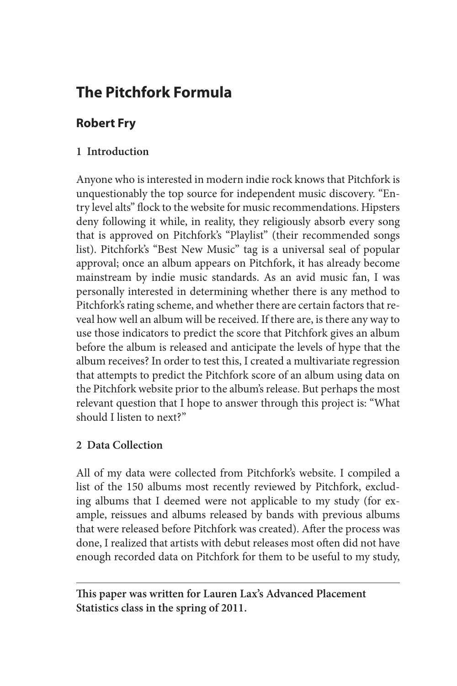# **The Pitchfork Formula**

## **Robert Fry**

## **1 Introduction**

Anyone who is interested in modern indie rock knows that Pitchfork is unquestionably the top source for independent music discovery. "Entry level alts" flock to the website for music recommendations. Hipsters deny following it while, in reality, they religiously absorb every song that is approved on Pitchfork's "Playlist" (their recommended songs list). Pitchfork's "Best New Music" tag is a universal seal of popular approval; once an album appears on Pitchfork, it has already become mainstream by indie music standards. As an avid music fan, I was personally interested in determining whether there is any method to Pitchfork's rating scheme, and whether there are certain factors that reveal how well an album will be received. If there are, is there any way to use those indicators to predict the score that Pitchfork gives an album before the album is released and anticipate the levels of hype that the album receives? In order to test this, I created a multivariate regression that attempts to predict the Pitchfork score of an album using data on the Pitchfork website prior to the album's release. But perhaps the most relevant question that I hope to answer through this project is: "What should I listen to next?"

#### **2 Data Collection**

All of my data were collected from Pitchfork's website. I compiled a list of the 150 albums most recently reviewed by Pitchfork, excluding albums that I deemed were not applicable to my study (for example, reissues and albums released by bands with previous albums that were released before Pitchfork was created). After the process was done, I realized that artists with debut releases most often did not have enough recorded data on Pitchfork for them to be useful to my study,

**This paper was written for Lauren Lax's Advanced Placement Statistics class in the spring of 2011.**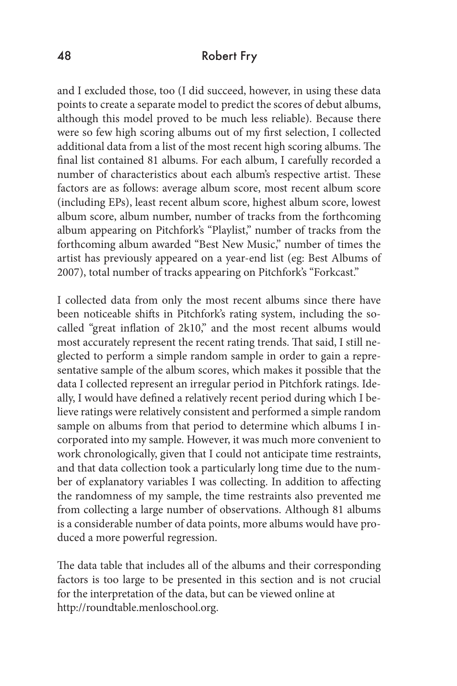and I excluded those, too (I did succeed, however, in using these data points to create a separate model to predict the scores of debut albums, although this model proved to be much less reliable). Because there were so few high scoring albums out of my first selection, I collected additional data from a list of the most recent high scoring albums. The final list contained 81 albums. For each album, I carefully recorded a number of characteristics about each album's respective artist. These factors are as follows: average album score, most recent album score (including EPs), least recent album score, highest album score, lowest album score, album number, number of tracks from the forthcoming album appearing on Pitchfork's "Playlist," number of tracks from the forthcoming album awarded "Best New Music," number of times the artist has previously appeared on a year-end list (eg: Best Albums of 2007), total number of tracks appearing on Pitchfork's "Forkcast."

I collected data from only the most recent albums since there have been noticeable shifts in Pitchfork's rating system, including the socalled "great inflation of 2k10," and the most recent albums would most accurately represent the recent rating trends. That said, I still neglected to perform a simple random sample in order to gain a representative sample of the album scores, which makes it possible that the data I collected represent an irregular period in Pitchfork ratings. Ideally, I would have defined a relatively recent period during which I believe ratings were relatively consistent and performed a simple random sample on albums from that period to determine which albums I incorporated into my sample. However, it was much more convenient to work chronologically, given that I could not anticipate time restraints, and that data collection took a particularly long time due to the number of explanatory variables I was collecting. In addition to affecting the randomness of my sample, the time restraints also prevented me from collecting a large number of observations. Although 81 albums is a considerable number of data points, more albums would have produced a more powerful regression.

The data table that includes all of the albums and their corresponding factors is too large to be presented in this section and is not crucial for the interpretation of the data, but can be viewed online at http://roundtable.menloschool.org.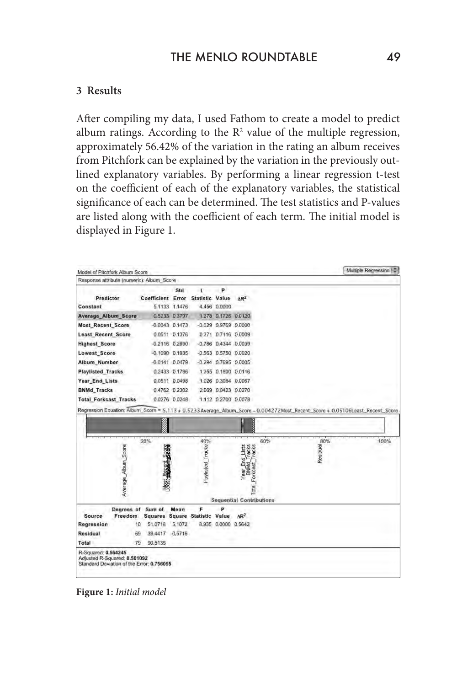#### **3 Results**

After compiling my data, I used Fathom to create a model to predict album ratings. According to the  $\mathbb{R}^2$  value of the multiple regression, approximately 56.42% of the variation in the rating an album receives from Pitchfork can be explained by the variation in the previously outlined explanatory variables. By performing a linear regression t-test on the coefficient of each of the explanatory variables, the statistical significance of each can be determined. The test statistics and P-values are listed along with the coefficient of each term. The initial model is displayed in Figure 1.

| Response attribute (numeric): Album Score                                                                                      |                                                 |                    |                   |                        |                                                        |     |                 |      |
|--------------------------------------------------------------------------------------------------------------------------------|-------------------------------------------------|--------------------|-------------------|------------------------|--------------------------------------------------------|-----|-----------------|------|
|                                                                                                                                |                                                 | Std                | $\mathbf{U}$      | P<br>$\sim$            |                                                        |     |                 |      |
| Predictor                                                                                                                      | Coefficient Error                               |                    | Statistic Value   |                        | $AR^2$                                                 |     |                 |      |
| Constant                                                                                                                       |                                                 | 5.1133 1.1476      |                   | 4,456 0.0000           |                                                        |     |                 |      |
| Average Album Score                                                                                                            |                                                 | 0.5233 0.3797      |                   |                        | 1.378 0.1726 0.0120                                    |     |                 |      |
| <b>Most Recent Score</b>                                                                                                       |                                                 | $-0.0043$ $0.1473$ |                   | $-0.029$ 0.9769 0.0000 |                                                        |     |                 |      |
| <b>Least Recent Score</b>                                                                                                      |                                                 | 0.0511 0.1376      |                   |                        | 0.371 0.7116 0.0009                                    |     |                 |      |
| <b>Highest Score</b>                                                                                                           |                                                 | $-0.2116$ $0.2690$ |                   |                        | $-0.786$ $0.4344$ $0.0039$                             |     |                 |      |
| <b>Lowest Score</b>                                                                                                            |                                                 | $-0.1090$ $0.1935$ |                   |                        | $-0.563$ $0.5750$ $0.0020$                             |     |                 |      |
| Album Number                                                                                                                   |                                                 | $-0.0141$ $0.0479$ |                   |                        | $-0.294$ $0.7695$ $0.0005$                             |     |                 |      |
| <b>Playlisted Tracks</b>                                                                                                       |                                                 | 0.2433 0.1796      |                   | 1.355 0.1800 0.0116    |                                                        |     |                 |      |
| Year_End_Lists                                                                                                                 |                                                 | 0.0511 0.0498      |                   |                        | 1.026 0.3084 0.0067                                    |     |                 |      |
| <b>BNMd Tracks</b>                                                                                                             |                                                 | 0.4762 0.2302      |                   | 2.069 0.0423 0.0270    |                                                        |     |                 |      |
| <b>Total Forkcast Tracks</b>                                                                                                   |                                                 | 0.0276 0.0248      |                   | 1.112 0.2700 0.0078    |                                                        |     |                 |      |
|                                                                                                                                |                                                 |                    |                   |                        | <b>THE REAL PROPE</b>                                  |     |                 |      |
|                                                                                                                                | 20%                                             |                    | 40%               |                        |                                                        | 60% | 80%<br>Residual |      |
| Average_Album_Score                                                                                                            | Mast Basic Lister                               |                    | Playlisted_Tracks |                        | Year End Lists<br>BNMd_Tracks<br>Total_Forkcast_Tracks |     |                 | 100% |
| Regression Equation: Album_Score = 5,113 + 0.5233 Average_Album_Score - 0.004272 Most_Recent_Score + 0.05106Least_Recent_Score |                                                 |                    |                   |                        | <b>Sequential Contributions</b>                        |     |                 |      |
|                                                                                                                                | Degrees of Sum of                               | Mean               | F                 |                        |                                                        |     |                 |      |
| Source<br>Freedom                                                                                                              | Squares Square Statistic Value<br>10<br>51.0718 | 5,1072             |                   | 8.935 0.0000 0.5642    | $AR^2$                                                 |     |                 |      |
|                                                                                                                                | 69<br>39.4417 0.5716                            |                    |                   |                        |                                                        |     |                 |      |
| Regression<br>Residual<br>Total                                                                                                | 79<br>90.5135                                   |                    |                   |                        |                                                        |     |                 |      |

**Figure 1:** *Initial model*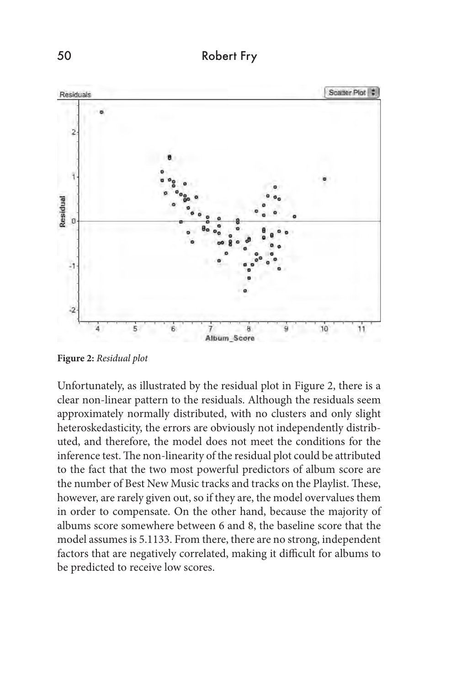

**Figure 2:** *Residual plot*

Unfortunately, as illustrated by the residual plot in Figure 2, there is a clear non-linear pattern to the residuals. Although the residuals seem approximately normally distributed, with no clusters and only slight heteroskedasticity, the errors are obviously not independently distributed, and therefore, the model does not meet the conditions for the inference test. The non-linearity of the residual plot could be attributed to the fact that the two most powerful predictors of album score are the number of Best New Music tracks and tracks on the Playlist. These, however, are rarely given out, so if they are, the model overvalues them in order to compensate. On the other hand, because the majority of albums score somewhere between 6 and 8, the baseline score that the model assumes is 5.1133. From there, there are no strong, independent factors that are negatively correlated, making it difficult for albums to be predicted to receive low scores.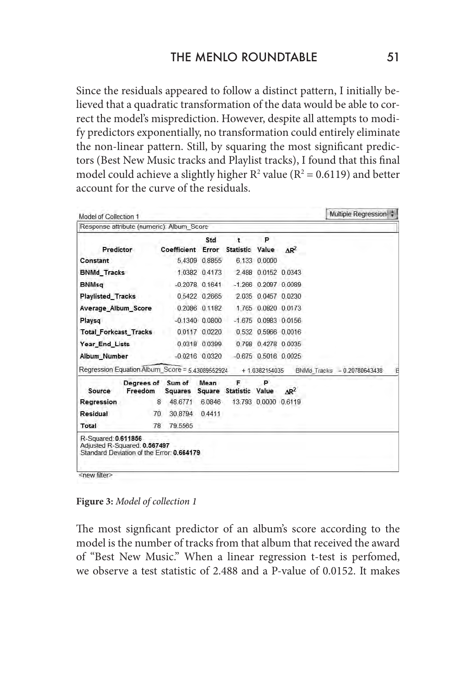Since the residuals appeared to follow a distinct pattern, I initially believed that a quadratic transformation of the data would be able to correct the model's misprediction. However, despite all attempts to modify predictors exponentially, no transformation could entirely eliminate the non-linear pattern. Still, by squaring the most significant predictors (Best New Music tracks and Playlist tracks), I found that this final model could achieve a slightly higher  $R^2$  value ( $R^2 = 0.6119$ ) and better account for the curve of the residuals.

| Model of Collection 1        |                                                                           |                   |                    |                        |                |                        | Multiple Regression         |  |
|------------------------------|---------------------------------------------------------------------------|-------------------|--------------------|------------------------|----------------|------------------------|-----------------------------|--|
|                              | Response attribute (numeric): Album Score                                 |                   |                    |                        |                |                        |                             |  |
|                              |                                                                           |                   | Std                | ŧ.                     | P              |                        |                             |  |
| Predictor                    |                                                                           | Coefficient Error |                    | Statistic Value AR2    |                |                        |                             |  |
| Constant                     |                                                                           |                   | 5.4309 0.8855      |                        | 6.133 0.0000   |                        |                             |  |
| <b>BNMd Tracks</b>           |                                                                           |                   | 1.0382 0.4173      |                        |                | 2 488 0 0152 0 0343    |                             |  |
| <b>BNMsg</b>                 |                                                                           |                   | $-0.2078$ 0.1641   |                        |                | $-1.266$ 0.2097 0.0089 |                             |  |
| <b>Playlisted Tracks</b>     |                                                                           |                   | 0.5422 0.2665      |                        |                | 2.035 0.0457 0.0230    |                             |  |
| Average Album Score          |                                                                           |                   | 0.2086 0.1182      |                        |                | 1.765 0.0820 0.0173    |                             |  |
| Playsq                       |                                                                           |                   | $-0.1340$ $0.0800$ |                        |                | $-1.675$ 0.0983 0.0156 |                             |  |
| <b>Total Forkcast Tracks</b> |                                                                           |                   | 0.0117 0.0220      |                        |                | 0.532 0.5966 0.0016    |                             |  |
| Year_End_Lists               |                                                                           |                   | 0.0318 0.0399      |                        |                | 0.798 0.4278 0.0035    |                             |  |
| Album Number                 |                                                                           |                   | $-0.0216$ 0.0320   |                        |                | $-0.675$ 0.5016 0.0025 |                             |  |
|                              | Regression Equation: Album_Score = 5.43089552924                          |                   |                    |                        | + 1.0382154035 |                        | BNMd Tracks - 0.20780643438 |  |
|                              | Dearees of Sum of                                                         |                   | Mean               | F                      | P              |                        |                             |  |
| Source                       | Freedom                                                                   | Squares           |                    | Square Statistic Value |                | $AR^2$                 |                             |  |
| Regression                   | 8                                                                         | 48.6771           | 6.0846             |                        |                | 13.793 0.0000 0.6119   |                             |  |
| Residual                     | 70                                                                        | 30.8794 0.4411    |                    |                        |                |                        |                             |  |
| Total                        | 78                                                                        | 79,5565           |                    |                        |                |                        |                             |  |
| R-Squared: 0.611856          | Adjusted R-Squared: 0.567497<br>Standard Deviation of the Error: 0.664179 |                   |                    |                        |                |                        |                             |  |

**Figure 3:** *Model of collection 1*

The most signficant predictor of an album's score according to the model is the number of tracks from that album that received the award of "Best New Music." When a linear regression t-test is perfomed, we observe a test statistic of 2.488 and a P-value of 0.0152. It makes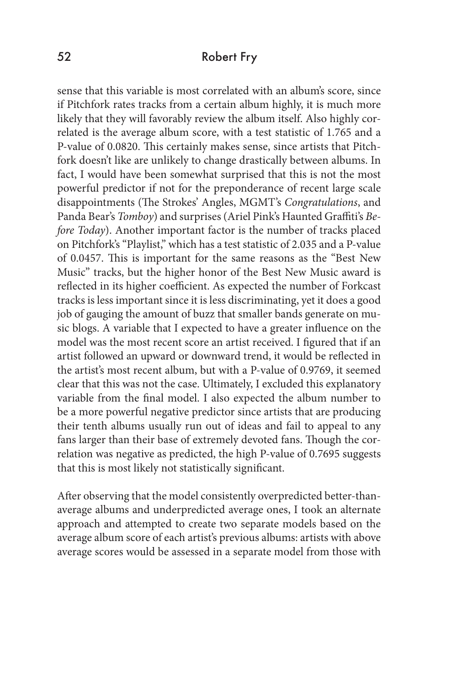sense that this variable is most correlated with an album's score, since if Pitchfork rates tracks from a certain album highly, it is much more likely that they will favorably review the album itself. Also highly correlated is the average album score, with a test statistic of 1.765 and a P-value of 0.0820. This certainly makes sense, since artists that Pitchfork doesn't like are unlikely to change drastically between albums. In fact, I would have been somewhat surprised that this is not the most powerful predictor if not for the preponderance of recent large scale disappointments (The Strokes' Angles, MGMT's *Congratulations*, and Panda Bear's *Tomboy*) and surprises (Ariel Pink's Haunted Graffiti's *Before Today*). Another important factor is the number of tracks placed on Pitchfork's "Playlist," which has a test statistic of 2.035 and a P-value of 0.0457. This is important for the same reasons as the "Best New Music" tracks, but the higher honor of the Best New Music award is reflected in its higher coefficient. As expected the number of Forkcast tracks is less important since it is less discriminating, yet it does a good job of gauging the amount of buzz that smaller bands generate on music blogs. A variable that I expected to have a greater influence on the model was the most recent score an artist received. I figured that if an artist followed an upward or downward trend, it would be reflected in the artist's most recent album, but with a P-value of 0.9769, it seemed clear that this was not the case. Ultimately, I excluded this explanatory variable from the final model. I also expected the album number to be a more powerful negative predictor since artists that are producing their tenth albums usually run out of ideas and fail to appeal to any fans larger than their base of extremely devoted fans. Though the correlation was negative as predicted, the high P-value of 0.7695 suggests that this is most likely not statistically significant.

After observing that the model consistently overpredicted better-thanaverage albums and underpredicted average ones, I took an alternate approach and attempted to create two separate models based on the average album score of each artist's previous albums: artists with above average scores would be assessed in a separate model from those with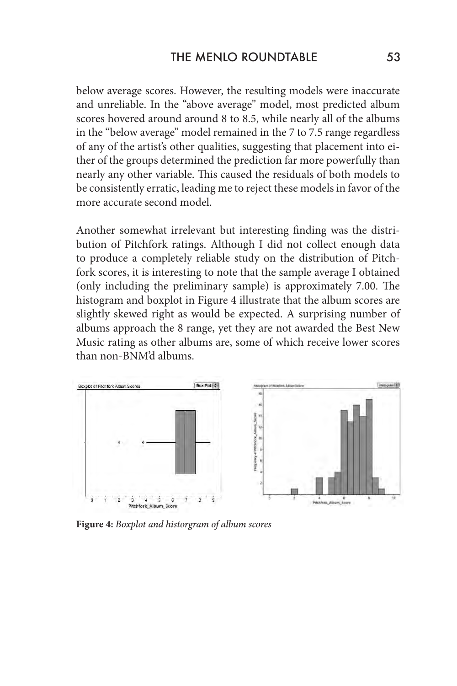below average scores. However, the resulting models were inaccurate and unreliable. In the "above average" model, most predicted album scores hovered around around 8 to 8.5, while nearly all of the albums in the "below average" model remained in the 7 to 7.5 range regardless of any of the artist's other qualities, suggesting that placement into either of the groups determined the prediction far more powerfully than nearly any other variable. This caused the residuals of both models to be consistently erratic, leading me to reject these models in favor of the more accurate second model.

Another somewhat irrelevant but interesting finding was the distribution of Pitchfork ratings. Although I did not collect enough data to produce a completely reliable study on the distribution of Pitchfork scores, it is interesting to note that the sample average I obtained (only including the preliminary sample) is approximately 7.00. The histogram and boxplot in Figure 4 illustrate that the album scores are slightly skewed right as would be expected. A surprising number of albums approach the 8 range, yet they are not awarded the Best New Music rating as other albums are, some of which receive lower scores than non-BNM'd albums.



**Figure 4:** *Boxplot and historgram of album scores*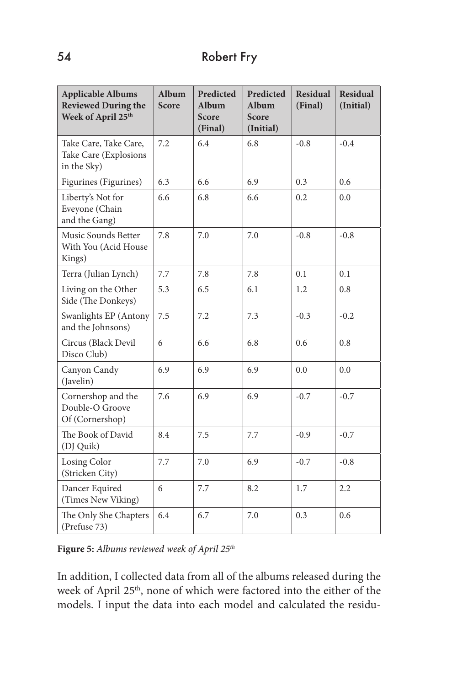| <b>Applicable Albums</b><br><b>Reviewed During the</b><br>Week of April 25th | Album<br><b>Score</b> | Predicted<br>Album<br><b>Score</b><br>(Final) | Predicted<br>Album<br>Score<br>(Initial) | <b>Residual</b><br>(Final) | <b>Residual</b><br>(Initial) |
|------------------------------------------------------------------------------|-----------------------|-----------------------------------------------|------------------------------------------|----------------------------|------------------------------|
| Take Care, Take Care,<br>Take Care (Explosions<br>in the Sky)                | 7.2                   | 6.4                                           | 6.8                                      | $-0.8$                     | $-0.4$                       |
| Figurines (Figurines)                                                        | 6.3                   | 6.6                                           | 6.9                                      | 0.3                        | 0.6                          |
| Liberty's Not for<br>Eveyone (Chain<br>and the Gang)                         | 6.6                   | 6.8                                           | 6.6                                      | 0.2                        | 0.0                          |
| Music Sounds Better<br>With You (Acid House<br>Kings)                        | 7.8                   | 7.0                                           | 7.0                                      | $-0.8$                     | $-0.8$                       |
| Terra (Julian Lynch)                                                         | 7.7                   | 7.8                                           | 7.8                                      | 0.1                        | 0.1                          |
| Living on the Other<br>Side (The Donkeys)                                    | 5.3                   | 6.5                                           | 6.1                                      | 1.2                        | 0.8                          |
| Swanlights EP (Antony<br>and the Johnsons)                                   | 7.5                   | 7.2                                           | 7.3                                      | $-0.3$                     | $-0.2$                       |
| Circus (Black Devil<br>Disco Club)                                           | 6                     | 6.6                                           | 6.8                                      | 0.6                        | 0.8                          |
| Canyon Candy<br>(Javelin)                                                    | 6.9                   | 6.9                                           | 6.9                                      | 0.0                        | 0.0                          |
| Cornershop and the<br>Double-O Groove<br>Of (Cornershop)                     | 7.6                   | 6.9                                           | 6.9                                      | $-0.7$                     | $-0.7$                       |
| The Book of David<br>(DJ Quik)                                               | 8.4                   | 7.5                                           | 7.7                                      | $-0.9$                     | $-0.7$                       |
| Losing Color<br>(Stricken City)                                              | 7.7                   | 7.0                                           | 6.9                                      | $-0.7$                     | $-0.8$                       |
| Dancer Equired<br>(Times New Viking)                                         | 6                     | 7.7                                           | 8.2                                      | 1.7                        | 2.2                          |
| The Only She Chapters<br>(Prefuse 73)                                        | 6.4                   | 6.7                                           | 7.0                                      | 0.3                        | 0.6                          |

**Figure 5:** *Albums reviewed week of April 25th* 

In addition, I collected data from all of the albums released during the week of April 25<sup>th</sup>, none of which were factored into the either of the models. I input the data into each model and calculated the residu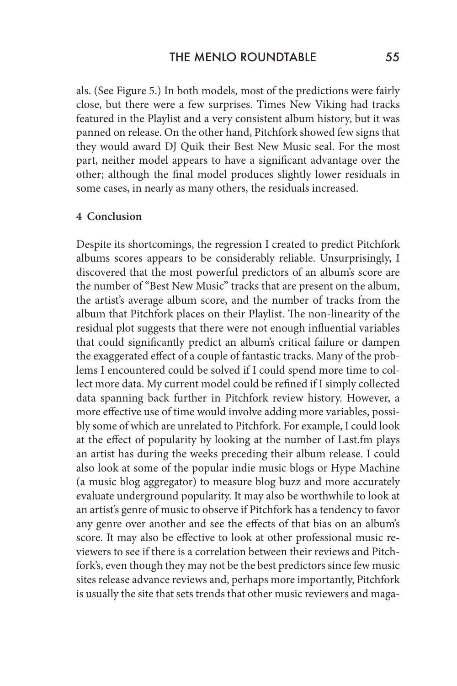als. (See Figure 5.) In both models, most of the predictions were fairly close, but there were a few surprises. Times New Viking had tracks featured in the Playlist and a very consistent album history, but it was panned on release. On the other hand, Pitchfork showed few signs that they would award DJ Quik their Best New Music seal. For the most part, neither model appears to have a significant advantage over the other; although the final model produces slightly lower residuals in some cases, in nearly as many others, the residuals increased.

#### **4 Conclusion**

Despite its shortcomings, the regression I created to predict Pitchfork albums scores appears to be considerably reliable. Unsurprisingly, I discovered that the most powerful predictors of an album's score are the number of "Best New Music" tracks that are present on the album, the artist's average album score, and the number of tracks from the album that Pitchfork places on their Playlist. The non-linearity of the residual plot suggests that there were not enough influential variables that could significantly predict an album's critical failure or dampen the exaggerated effect of a couple of fantastic tracks. Many of the problems I encountered could be solved if I could spend more time to collect more data. My current model could be refined if I simply collected data spanning back further in Pitchfork review history. However, a more effective use of time would involve adding more variables, possibly some of which are unrelated to Pitchfork. For example, I could look at the effect of popularity by looking at the number of Last.fm plays an artist has during the weeks preceding their album release. I could also look at some of the popular indie music blogs or Hype Machine (a music blog aggregator) to measure blog buzz and more accurately evaluate underground popularity. It may also be worthwhile to look at an artist's genre of music to observe if Pitchfork has a tendency to favor any genre over another and see the effects of that bias on an album's score. It may also be effective to look at other professional music reviewers to see if there is a correlation between their reviews and Pitchfork's, even though they may not be the best predictors since few music sites release advance reviews and, perhaps more importantly, Pitchfork is usually the site that sets trends that other music reviewers and maga-